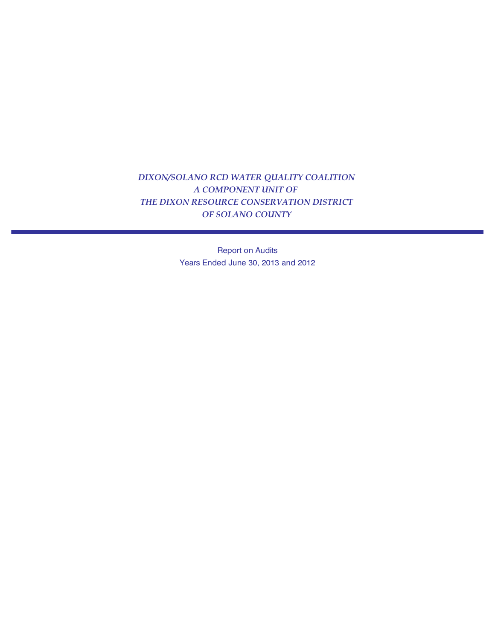*DIXON/SOLANO RCD WATER QUALITY COALITION THE DIXON RESOURCE CONSERVATION DISTRICT A COMPONENT UNIT OF OF SOLANO COUNTY*

> Report on Audits Years Ended June 30, 2013 and 2012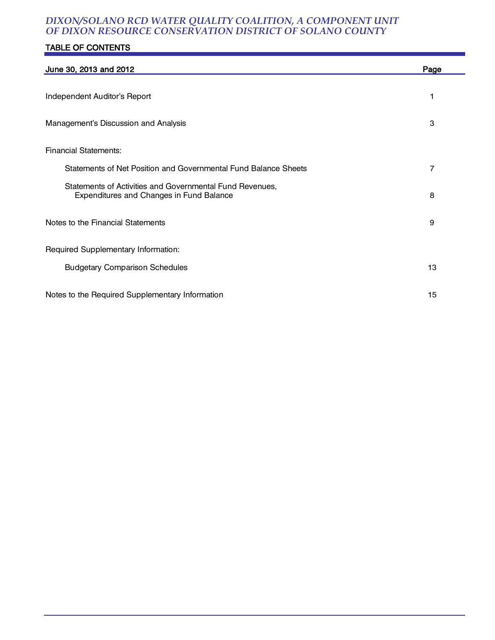# TABLE OF CONTENTS

| June 30, 2013 and 2012                                                                                      | Page |
|-------------------------------------------------------------------------------------------------------------|------|
| Independent Auditor's Report                                                                                | 1    |
|                                                                                                             |      |
| Management's Discussion and Analysis                                                                        | 3    |
| <b>Financial Statements:</b>                                                                                |      |
| Statements of Net Position and Governmental Fund Balance Sheets                                             | 7    |
| Statements of Activities and Governmental Fund Revenues,<br><b>Expenditures and Changes in Fund Balance</b> | 8    |
| Notes to the Financial Statements                                                                           | 9    |
| Required Supplementary Information:                                                                         |      |
| <b>Budgetary Comparison Schedules</b>                                                                       | 13   |
| Notes to the Required Supplementary Information                                                             | 15   |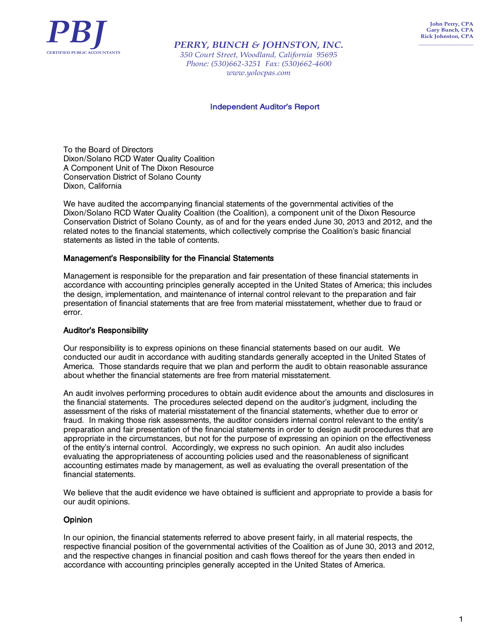

**\_\_\_\_\_\_\_\_\_\_\_\_\_\_\_\_\_\_\_** *PERRY, BUNCH & JOHNSTON, INC. 350 Court Street, Woodland, California 95695 Phone: (530)662-3251 Fax: (530)662-4600 www.yolocpas.com*

#### Independent Auditor's Report

To the Board of Directors Dixon/Solano RCD Water Quality Coalition A Component Unit of The Dixon Resource Conservation District of Solano County Dixon, California

We have audited the accompanying financial statements of the governmental activities of the Dixon/Solano RCD Water Quality Coalition (the Coalition), a component unit of the Dixon Resource Conservation District of Solano County, as of and for the years ended June 30, 2013 and 2012, and the related notes to the financial statements, which collectively comprise the Coalition's basic financial statements as listed in the table of contents.

#### Management's Responsibility for the Financial Statements

Management is responsible for the preparation and fair presentation of these financial statements in accordance with accounting principles generally accepted in the United States of America; this includes the design, implementation, and maintenance of internal control relevant to the preparation and fair presentation of financial statements that are free from material misstatement, whether due to fraud or error.

#### Auditor's Responsibility

Our responsibility is to express opinions on these financial statements based on our audit. We conducted our audit in accordance with auditing standards generally accepted in the United States of America. Those standards require that we plan and perform the audit to obtain reasonable assurance about whether the financial statements are free from material misstatement.

An audit involves performing procedures to obtain audit evidence about the amounts and disclosures in the financial statements. The procedures selected depend on the auditor's judgment, including the assessment of the risks of material misstatement of the financial statements, whether due to error or fraud. In making those risk assessments, the auditor considers internal control relevant to the entity's preparation and fair presentation of the financial statements in order to design audit procedures that are appropriate in the circumstances, but not for the purpose of expressing an opinion on the effectiveness of the entity's internal control. Accordingly, we express no such opinion. An audit also includes evaluating the appropriateness of accounting policies used and the reasonableness of significant accounting estimates made by management, as well as evaluating the overall presentation of the financial statements.

We believe that the audit evidence we have obtained is sufficient and appropriate to provide a basis for our audit opinions.

#### Opinion

In our opinion, the financial statements referred to above present fairly, in all material respects, the respective financial position of the governmental activities of the Coalition as of June 30, 2013 and 2012, and the respective changes in financial position and cash flows thereof for the years then ended in accordance with accounting principles generally accepted in the United States of America.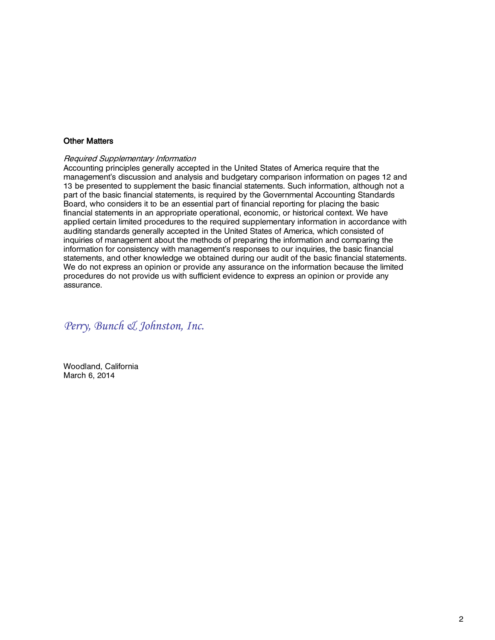#### Other Matters

#### Required Supplementary Information

Accounting principles generally accepted in the United States of America require that the management's discussion and analysis and budgetary comparison information on pages 12 and 13 be presented to supplement the basic financial statements. Such information, although not a part of the basic financial statements, is required by the Governmental Accounting Standards Board, who considers it to be an essential part of financial reporting for placing the basic financial statements in an appropriate operational, economic, or historical context. We have applied certain limited procedures to the required supplementary information in accordance with auditing standards generally accepted in the United States of America, which consisted of inquiries of management about the methods of preparing the information and comparing the information for consistency with management's responses to our inquiries, the basic financial statements, and other knowledge we obtained during our audit of the basic financial statements. We do not express an opinion or provide any assurance on the information because the limited procedures do not provide us with sufficient evidence to express an opinion or provide any assurance.

*Perry, Bunch & Johnston, Inc.*

Woodland, California March 6, 2014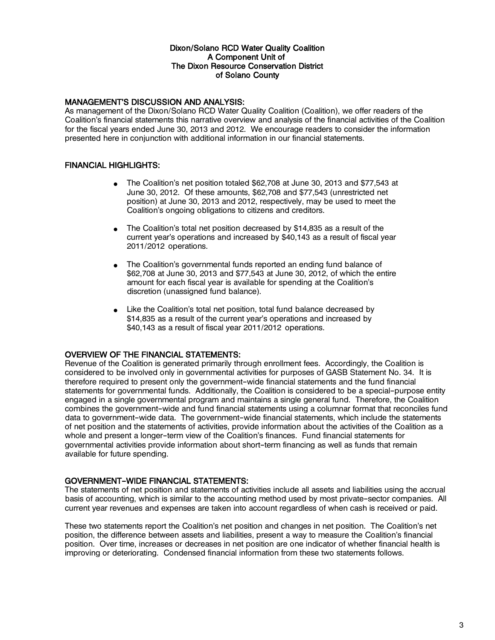#### Dixon/Solano RCD Water Quality Coalition A Component Unit of The Dixon Resource Conservation District of Solano County

## MANAGEMENT'S DISCUSSION AND ANALYSIS:

As management of the Dixon/Solano RCD Water Quality Coalition (Coalition), we offer readers of the Coalition's financial statements this narrative overview and analysis of the financial activities of the Coalition for the fiscal years ended June 30, 2013 and 2012. We encourage readers to consider the information presented here in conjunction with additional information in our financial statements.

## FINANCIAL HIGHLIGHTS:

- The Coalition's net position totaled \$62,708 at June 30, 2013 and \$77,543 at June 30, 2012. Of these amounts, \$62,708 and \$77,543 (unrestricted net position) at June 30, 2013 and 2012, respectively, may be used to meet the Coalition's ongoing obligations to citizens and creditors.
- The Coalition's total net position decreased by \$14,835 as a result of the current year's operations and increased by \$40,143 as a result of fiscal year 2011/2012 operations.
- The Coalition's governmental funds reported an ending fund balance of \$62,708 at June 30, 2013 and \$77,543 at June 30, 2012, of which the entire amount for each fiscal year is available for spending at the Coalition's discretion (unassigned fund balance).
- Like the Coalition's total net position, total fund balance decreased by \$14,835 as a result of the current year's operations and increased by \$40,143 as a result of fiscal year 2011/2012 operations.

#### OVERVIEW OF THE FINANCIAL STATEMENTS:

Revenue of the Coalition is generated primarily through enrollment fees. Accordingly, the Coalition is considered to be involved only in governmental activities for purposes of GASB Statement No. 34. It is therefore required to present only the government-wide financial statements and the fund financial statements for governmental funds. Additionally, the Coalition is considered to be a special-purpose entity engaged in a single governmental program and maintains a single general fund. Therefore, the Coalition combines the government-wide and fund financial statements using a columnar format that reconciles fund data to government-wide data. The government-wide financial statements, which include the statements of net position and the statements of activities, provide information about the activities of the Coalition as a whole and present a longer-term view of the Coalition's finances. Fund financial statements for governmental activities provide information about short-term financing as well as funds that remain available for future spending.

#### GOVERNMENT-WIDE FINANCIAL STATEMENTS:

The statements of net position and statements of activities include all assets and liabilities using the accrual basis of accounting, which is similar to the accounting method used by most private-sector companies. All current year revenues and expenses are taken into account regardless of when cash is received or paid.

These two statements report the Coalition's net position and changes in net position. The Coalition's net position, the difference between assets and liabilities, present a way to measure the Coalition's financial position. Over time, increases or decreases in net position are one indicator of whether financial health is improving or deteriorating. Condensed financial information from these two statements follows.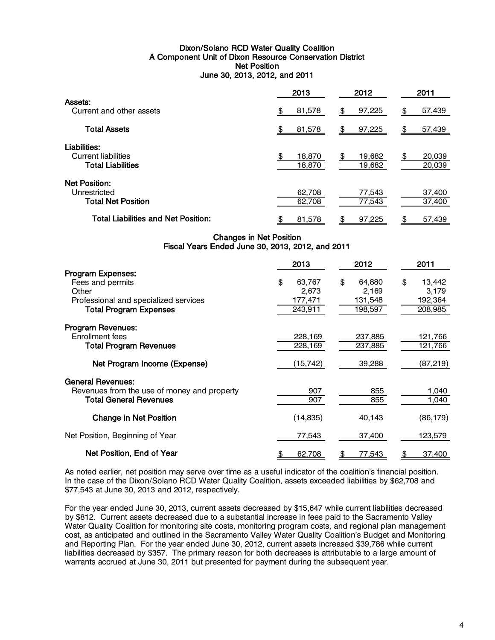#### Dixon/Solano RCD Water Quality Coalition June 30, 2013, 2012, and 2011 A Component Unit of Dixon Resource Conservation District Net Position

|                                                                        | 2013                   | 2012                   | 2011                   |  |
|------------------------------------------------------------------------|------------------------|------------------------|------------------------|--|
| Assets:<br>Current and other assets                                    | 81,578<br>\$           | 97,225<br>\$           | 57,439<br>S            |  |
| <b>Total Assets</b>                                                    | 81,578                 | 97,225<br>\$           | 57,439<br>S            |  |
| Liabilities:<br><b>Current liabilities</b><br><b>Total Liabilities</b> | \$<br>18,870<br>18,870 | \$<br>19,682<br>19,682 | \$<br>20,039<br>20,039 |  |
| <b>Net Position:</b><br>Unrestricted<br><b>Total Net Position</b>      | 62,708<br>62,708       | 77,543<br>77,543       | 37,400<br>37,400       |  |
| <b>Total Liabilities and Net Position:</b>                             | 81,578                 | 97,225<br>S            | 57,439                 |  |

## Changes in Net Position Fiscal Years Ended June 30, 2013, 2012, and 2011

|                                             | 2013         | 2012         |              |
|---------------------------------------------|--------------|--------------|--------------|
| Program Expenses:                           |              |              |              |
| Fees and permits                            | 63,767<br>\$ | 64.880<br>\$ | \$<br>13,442 |
| Other                                       | 2,673        | 2,169        | 3,179        |
| Professional and specialized services       | 177,471      | 131,548      | 192,364      |
| <b>Total Program Expenses</b>               | 243,911      | 198,597      | 208,985      |
| <b>Program Revenues:</b>                    |              |              |              |
| Enrollment fees                             | 228,169      | 237,885      | 121,766      |
| <b>Total Program Revenues</b>               | 228,169      | 237,885      | 121,766      |
| Net Program Income (Expense)                | (15,742)     | 39,288       | (87, 219)    |
| <b>General Revenues:</b>                    |              |              |              |
| Revenues from the use of money and property | 907          | 855          | 1,040        |
| <b>Total General Revenues</b>               | 907          | 855          | 1,040        |
| Change in Net Position                      | (14, 835)    | 40,143       | (86, 179)    |
| Net Position, Beginning of Year             | 77,543       | 37,400       | 123,579      |
| Net Position, End of Year                   | 62,708<br>\$ | 77,543<br>\$ | 37.400<br>S  |

As noted earlier, net position may serve over time as a useful indicator of the coalition's financial position. In the case of the Dixon/Solano RCD Water Quality Coalition, assets exceeded liabilities by \$62,708 and \$77,543 at June 30, 2013 and 2012, respectively.

For the year ended June 30, 2013, current assets decreased by \$15,647 while current liabilities decreased by \$812. Current assets decreased due to a substantial increase in fees paid to the Sacramento Valley Water Quality Coalition for monitoring site costs, monitoring program costs, and regional plan management cost, as anticipated and outlined in the Sacramento Valley Water Quality Coalition's Budget and Monitoring and Reporting Plan. For the year ended June 30, 2012, current assets increased \$39,786 while current liabilities decreased by \$357. The primary reason for both decreases is attributable to a large amount of warrants accrued at June 30, 2011 but presented for payment during the subsequent year.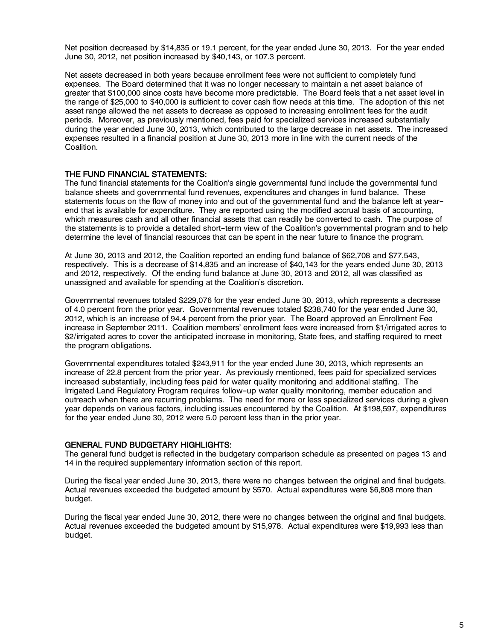Net position decreased by \$14,835 or 19.1 percent, for the year ended June 30, 2013. For the year ended June 30, 2012, net position increased by \$40,143, or 107.3 percent.

Net assets decreased in both years because enrollment fees were not sufficient to completely fund expenses. The Board determined that it was no longer necessary to maintain a net asset balance of greater that \$100,000 since costs have become more predictable. The Board feels that a net asset level in the range of \$25,000 to \$40,000 is sufficient to cover cash flow needs at this time. The adoption of this net asset range allowed the net assets to decrease as opposed to increasing enrollment fees for the audit periods. Moreover, as previously mentioned, fees paid for specialized services increased substantially during the year ended June 30, 2013, which contributed to the large decrease in net assets. The increased expenses resulted in a financial position at June 30, 2013 more in line with the current needs of the Coalition.

## THE FUND FINANCIAL STATEMENTS:

The fund financial statements for the Coalition's single governmental fund include the governmental fund balance sheets and governmental fund revenues, expenditures and changes in fund balance. These statements focus on the flow of money into and out of the governmental fund and the balance left at yearend that is available for expenditure. They are reported using the modified accrual basis of accounting, which measures cash and all other financial assets that can readily be converted to cash. The purpose of the statements is to provide a detailed short-term view of the Coalition's governmental program and to help determine the level of financial resources that can be spent in the near future to finance the program.

At June 30, 2013 and 2012, the Coalition reported an ending fund balance of \$62,708 and \$77,543, respectively. This is a decrease of \$14,835 and an increase of \$40,143 for the years ended June 30, 2013 and 2012, respectively. Of the ending fund balance at June 30, 2013 and 2012, all was classified as unassigned and available for spending at the Coalition's discretion.

Governmental revenues totaled \$229,076 for the year ended June 30, 2013, which represents a decrease of 4.0 percent from the prior year. Governmental revenues totaled \$238,740 for the year ended June 30, 2012, which is an increase of 94.4 percent from the prior year. The Board approved an Enrollment Fee increase in September 2011. Coalition members' enrollment fees were increased from \$1/irrigated acres to \$2/irrigated acres to cover the anticipated increase in monitoring, State fees, and staffing required to meet the program obligations.

Governmental expenditures totaled \$243,911 for the year ended June 30, 2013, which represents an increase of 22.8 percent from the prior year. As previously mentioned, fees paid for specialized services increased substantially, including fees paid for water quality monitoring and additional staffing. The Irrigated Land Regulatory Program requires follow-up water quality monitoring, member education and outreach when there are recurring problems. The need for more or less specialized services during a given year depends on various factors, including issues encountered by the Coalition. At \$198,597, expenditures for the year ended June 30, 2012 were 5.0 percent less than in the prior year.

## GENERAL FUND BUDGETARY HIGHLIGHTS:

The general fund budget is reflected in the budgetary comparison schedule as presented on pages 13 and 14 in the required supplementary information section of this report.

During the fiscal year ended June 30, 2013, there were no changes between the original and final budgets. Actual revenues exceeded the budgeted amount by \$570. Actual expenditures were \$6,808 more than budget.

During the fiscal year ended June 30, 2012, there were no changes between the original and final budgets. Actual revenues exceeded the budgeted amount by \$15,978. Actual expenditures were \$19,993 less than budget.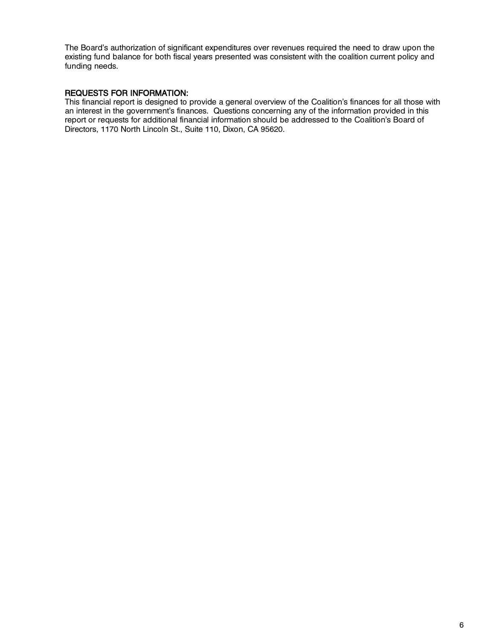The Board's authorization of significant expenditures over revenues required the need to draw upon the existing fund balance for both fiscal years presented was consistent with the coalition current policy and funding needs.

## REQUESTS FOR INFORMATION:

This financial report is designed to provide a general overview of the Coalition's finances for all those with an interest in the government's finances. Questions concerning any of the information provided in this report or requests for additional financial information should be addressed to the Coalition's Board of Directors, 1170 North Lincoln St., Suite 110, Dixon, CA 95620.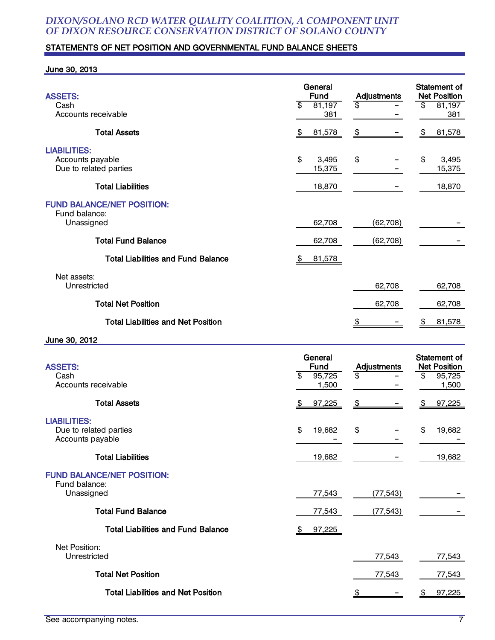## STATEMENTS OF NET POSITION AND GOVERNMENTAL FUND BALANCE SHEETS

### June 30, 2013

| <b>ASSETS:</b><br>Cash<br>Accounts receivable<br><b>Total Assets</b> | General<br><b>Fund</b><br>81,197<br>\$<br>381<br>81,578 | Adjustments<br>\$<br><u>\$</u> | Statement of<br><b>Net Position</b><br>81,197<br>\$<br>381<br>81,578 |
|----------------------------------------------------------------------|---------------------------------------------------------|--------------------------------|----------------------------------------------------------------------|
| <b>LIABILITIES:</b>                                                  |                                                         |                                |                                                                      |
| Accounts payable<br>Due to related parties                           | \$<br>3,495<br>15,375                                   | \$                             | \$<br>3,495<br>15,375                                                |
| <b>Total Liabilities</b>                                             | 18,870                                                  |                                | 18,870                                                               |
| <b>FUND BALANCE/NET POSITION:</b><br>Fund balance:<br>Unassigned     | 62,708                                                  | (62,708)                       |                                                                      |
| <b>Total Fund Balance</b>                                            | 62,708                                                  | (62, 708)                      |                                                                      |
| <b>Total Liabilities and Fund Balance</b>                            | 81,578                                                  |                                |                                                                      |
| Net assets:<br>Unrestricted                                          |                                                         | 62,708                         | 62,708                                                               |
| <b>Total Net Position</b>                                            |                                                         | 62,708                         | 62,708                                                               |
| <b>Total Liabilities and Net Position</b>                            |                                                         | \$                             | 81,578<br>S                                                          |
| June 30, 2012                                                        |                                                         |                                |                                                                      |
| <b>ASSETS:</b><br>Cash<br>Accounts receivable                        | General<br><b>Fund</b><br>\$<br>95,725<br>1,500         | Adjustments<br>\$              | Statement of<br><b>Net Position</b><br>95,725<br>\$<br>1,500         |
| <b>Total Assets</b>                                                  | 97,225<br>\$                                            | $\frac{1}{2}$                  | 97,225<br>\$                                                         |
| <b>LIABILITIES:</b><br>Due to related parties<br>Accounts payable    | \$<br>19,682                                            | \$                             | \$<br>19,682                                                         |
| <b>Total Liabilities</b>                                             | 19,682                                                  |                                | 19,682                                                               |
| <b>FUND BALANCE/NET POSITION:</b><br>Fund balance:                   |                                                         |                                |                                                                      |
| Unassigned                                                           | 77,543                                                  | (77, 543)                      |                                                                      |
| <b>Total Fund Balance</b>                                            | 77,543                                                  | (77, 543)                      |                                                                      |
| <b>Total Liabilities and Fund Balance</b>                            | 97,225<br>S.                                            |                                |                                                                      |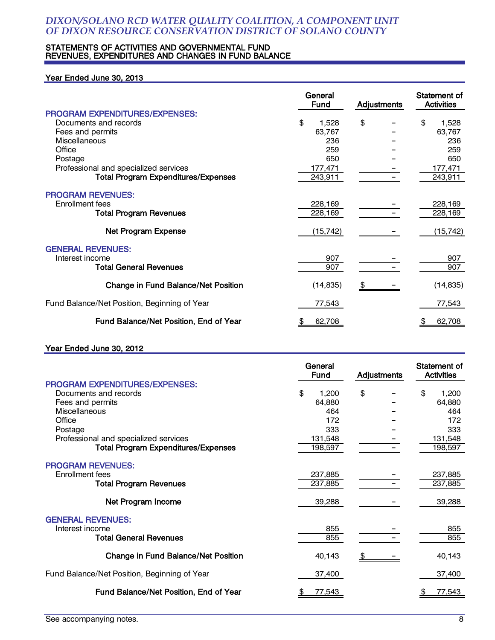### STATEMENTS OF ACTIVITIES AND GOVERNMENTAL FUND REVENUES, EXPENDITURES AND CHANGES IN FUND BALANCE

## Year Ended June 30, 2013

|                                              | General<br><b>Fund</b> | Adjustments | Statement of<br><b>Activities</b> |
|----------------------------------------------|------------------------|-------------|-----------------------------------|
| <b>PROGRAM EXPENDITURES/EXPENSES:</b>        |                        |             |                                   |
| Documents and records                        | \$<br>1,528            | \$          | \$<br>1,528                       |
| Fees and permits<br>Miscellaneous            | 63,767                 |             | 63,767                            |
|                                              | 236                    |             | 236                               |
| Office                                       | 259                    |             | 259                               |
| Postage                                      | 650                    |             | 650                               |
| Professional and specialized services        | 177,471                |             | 177,471                           |
| <b>Total Program Expenditures/Expenses</b>   | 243,911                |             | 243,911                           |
| <b>PROGRAM REVENUES:</b>                     |                        |             |                                   |
| <b>Enrollment fees</b>                       | 228,169                |             | 228,169                           |
| <b>Total Program Revenues</b>                | 228,169                |             | 228,169                           |
| Net Program Expense                          | (15, 742)              |             | (15, 742)                         |
| <b>GENERAL REVENUES:</b>                     |                        |             |                                   |
| Interest income                              | 907                    |             | 907                               |
| <b>Total General Revenues</b>                | 907                    |             | 907                               |
| <b>Change in Fund Balance/Net Position</b>   | (14, 835)              | S           | (14, 835)                         |
| Fund Balance/Net Position, Beginning of Year | 77,543                 |             | 77,543                            |
| Fund Balance/Net Position, End of Year       | 62,708                 |             | 62,708                            |

### Year Ended June 30, 2012

|                                                                                     | General<br><b>Fund</b><br>Adjustments |    | Statement of<br><b>Activities</b> |
|-------------------------------------------------------------------------------------|---------------------------------------|----|-----------------------------------|
| <b>PROGRAM EXPENDITURES/EXPENSES:</b>                                               |                                       |    |                                   |
| Documents and records                                                               | \$<br>1,200                           | \$ | \$<br>1,200                       |
| Fees and permits                                                                    | 64,880                                |    | 64,880                            |
| <b>Miscellaneous</b>                                                                | 464                                   |    | 464                               |
| Office                                                                              | 172                                   |    | 172                               |
| Postage                                                                             | 333                                   |    | 333                               |
| Professional and specialized services                                               | 131,548                               |    | 131,548                           |
| <b>Total Program Expenditures/Expenses</b>                                          | 198,597                               |    | 198,597                           |
| <b>PROGRAM REVENUES:</b><br><b>Enrollment fees</b><br><b>Total Program Revenues</b> | 237,885<br>237,885                    |    | 237,885<br>237,885                |
| Net Program Income                                                                  | 39,288                                |    | 39,288                            |
| <b>GENERAL REVENUES:</b><br>Interest income<br><b>Total General Revenues</b>        | 855<br>855                            |    | 855<br>855                        |
| <b>Change in Fund Balance/Net Position</b>                                          | 40,143                                |    | 40,143                            |
| Fund Balance/Net Position, Beginning of Year                                        | 37,400                                |    | 37,400                            |
| Fund Balance/Net Position, End of Year                                              | 77,543                                |    | 77,543                            |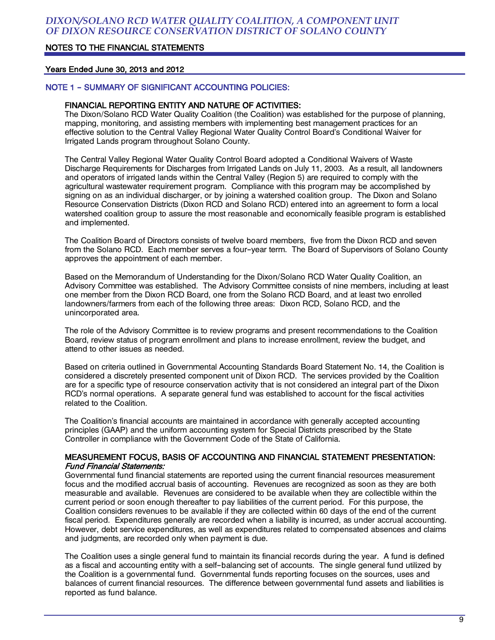## NOTES TO THE FINANCIAL STATEMENTS

## Years Ended June 30, 2013 and 2012

## NOTE 1 - SUMMARY OF SIGNIFICANT ACCOUNTING POLICIES:

#### FINANCIAL REPORTING ENTITY AND NATURE OF ACTIVITIES:

The Dixon/Solano RCD Water Quality Coalition (the Coalition) was established for the purpose of planning, mapping, monitoring, and assisting members with implementing best management practices for an effective solution to the Central Valley Regional Water Quality Control Board's Conditional Waiver for Irrigated Lands program throughout Solano County.

The Central Valley Regional Water Quality Control Board adopted a Conditional Waivers of Waste Discharge Requirements for Discharges from Irrigated Lands on July 11, 2003. As a result, all landowners and operators of irrigated lands within the Central Valley (Region 5) are required to comply with the agricultural wastewater requirement program. Compliance with this program may be accomplished by signing on as an individual discharger, or by joining a watershed coalition group. The Dixon and Solano Resource Conservation Districts (Dixon RCD and Solano RCD) entered into an agreement to form a local watershed coalition group to assure the most reasonable and economically feasible program is established and implemented.

The Coalition Board of Directors consists of twelve board members, five from the Dixon RCD and seven from the Solano RCD. Each member serves a four-year term. The Board of Supervisors of Solano County approves the appointment of each member.

Based on the Memorandum of Understanding for the Dixon/Solano RCD Water Quality Coalition, an Advisory Committee was established. The Advisory Committee consists of nine members, including at least one member from the Dixon RCD Board, one from the Solano RCD Board, and at least two enrolled landowners/farmers from each of the following three areas: Dixon RCD, Solano RCD, and the unincorporated area.

The role of the Advisory Committee is to review programs and present recommendations to the Coalition Board, review status of program enrollment and plans to increase enrollment, review the budget, and attend to other issues as needed.

Based on criteria outlined in Governmental Accounting Standards Board Statement No. 14, the Coalition is considered a discretely presented component unit of Dixon RCD. The services provided by the Coalition are for a specific type of resource conservation activity that is not considered an integral part of the Dixon RCD's normal operations. A separate general fund was established to account for the fiscal activities related to the Coalition.

The Coalition's financial accounts are maintained in accordance with generally accepted accounting principles (GAAP) and the uniform accounting system for Special Districts prescribed by the State Controller in compliance with the Government Code of the State of California.

#### MEASUREMENT FOCUS, BASIS OF ACCOUNTING AND FINANCIAL STATEMENT PRESENTATION: Fund Financial Statements:

Governmental fund financial statements are reported using the current financial resources measurement focus and the modified accrual basis of accounting. Revenues are recognized as soon as they are both measurable and available. Revenues are considered to be available when they are collectible within the current period or soon enough thereafter to pay liabilities of the current period. For this purpose, the Coalition considers revenues to be available if they are collected within 60 days of the end of the current fiscal period. Expenditures generally are recorded when a liability is incurred, as under accrual accounting. However, debt service expenditures, as well as expenditures related to compensated absences and claims and judgments, are recorded only when payment is due.

The Coalition uses a single general fund to maintain its financial records during the year. A fund is defined as a fiscal and accounting entity with a self-balancing set of accounts. The single general fund utilized by the Coalition is a governmental fund. Governmental funds reporting focuses on the sources, uses and balances of current financial resources. The difference between governmental fund assets and liabilities is reported as fund balance.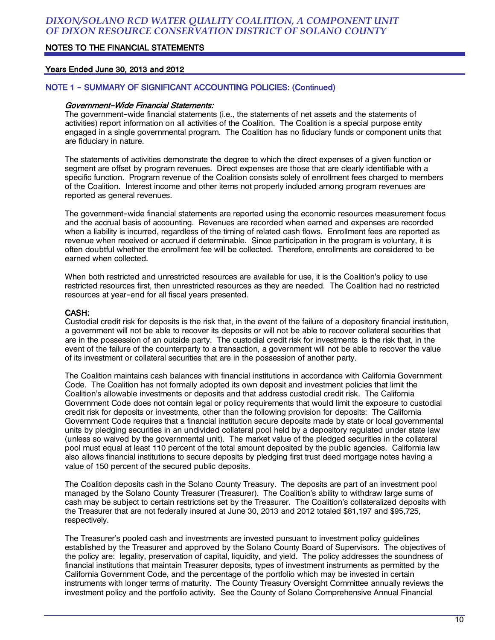# NOTES TO THE FINANCIAL STATEMENTS

## Years Ended June 30, 2013 and 2012

## NOTE 1 - SUMMARY OF SIGNIFICANT ACCOUNTING POLICIES: (Continued)

#### Government-Wide Financial Statements:

The government-wide financial statements (i.e., the statements of net assets and the statements of activities) report information on all activities of the Coalition. The Coalition is a special purpose entity engaged in a single governmental program. The Coalition has no fiduciary funds or component units that are fiduciary in nature.

The statements of activities demonstrate the degree to which the direct expenses of a given function or segment are offset by program revenues. Direct expenses are those that are clearly identifiable with a specific function. Program revenue of the Coalition consists solely of enrollment fees charged to members of the Coalition. Interest income and other items not properly included among program revenues are reported as general revenues.

The government-wide financial statements are reported using the economic resources measurement focus and the accrual basis of accounting. Revenues are recorded when earned and expenses are recorded when a liability is incurred, regardless of the timing of related cash flows. Enrollment fees are reported as revenue when received or accrued if determinable. Since participation in the program is voluntary, it is often doubtful whether the enrollment fee will be collected. Therefore, enrollments are considered to be earned when collected.

When both restricted and unrestricted resources are available for use, it is the Coalition's policy to use restricted resources first, then unrestricted resources as they are needed. The Coalition had no restricted resources at year-end for all fiscal years presented.

### CASH:

Custodial credit risk for deposits is the risk that, in the event of the failure of a depository financial institution, a government will not be able to recover its deposits or will not be able to recover collateral securities that are in the possession of an outside party. The custodial credit risk for investments is the risk that, in the event of the failure of the counterparty to a transaction, a government will not be able to recover the value of its investment or collateral securities that are in the possession of another party.

The Coalition maintains cash balances with financial institutions in accordance with California Government Code. The Coalition has not formally adopted its own deposit and investment policies that limit the Coalition's allowable investments or deposits and that address custodial credit risk. The California Government Code does not contain legal or policy requirements that would limit the exposure to custodial credit risk for deposits or investments, other than the following provision for deposits: The California Government Code requires that a financial institution secure deposits made by state or local governmental units by pledging securities in an undivided collateral pool held by a depository regulated under state law (unless so waived by the governmental unit). The market value of the pledged securities in the collateral pool must equal at least 110 percent of the total amount deposited by the public agencies. California law also allows financial institutions to secure deposits by pledging first trust deed mortgage notes having a value of 150 percent of the secured public deposits.

The Coalition deposits cash in the Solano County Treasury. The deposits are part of an investment pool managed by the Solano County Treasurer (Treasurer). The Coalition's ability to withdraw large sums of cash may be subject to certain restrictions set by the Treasurer. The Coalition's collateralized deposits with the Treasurer that are not federally insured at June 30, 2013 and 2012 totaled \$81,197 and \$95,725, respectively.

The Treasurer's pooled cash and investments are invested pursuant to investment policy guidelines established by the Treasurer and approved by the Solano County Board of Supervisors. The objectives of the policy are: legality, preservation of capital, liquidity, and yield. The policy addresses the soundness of financial institutions that maintain Treasurer deposits, types of investment instruments as permitted by the California Government Code, and the percentage of the portfolio which may be invested in certain instruments with longer terms of maturity. The County Treasury Oversight Committee annually reviews the investment policy and the portfolio activity. See the County of Solano Comprehensive Annual Financial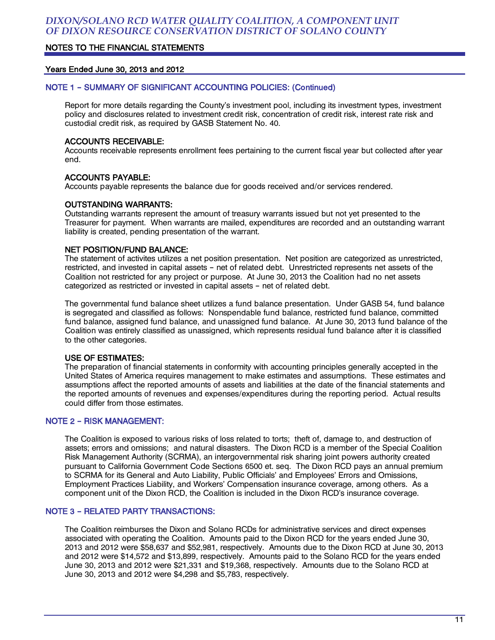## NOTES TO THE FINANCIAL STATEMENTS

### Years Ended June 30, 2013 and 2012

### NOTE 1 - SUMMARY OF SIGNIFICANT ACCOUNTING POLICIES: (Continued)

Report for more details regarding the County's investment pool, including its investment types, investment policy and disclosures related to investment credit risk, concentration of credit risk, interest rate risk and custodial credit risk, as required by GASB Statement No. 40.

#### ACCOUNTS RECEIVABLE:

Accounts receivable represents enrollment fees pertaining to the current fiscal year but collected after year end.

### ACCOUNTS PAYABLE:

Accounts payable represents the balance due for goods received and/or services rendered.

### OUTSTANDING WARRANTS:

Outstanding warrants represent the amount of treasury warrants issued but not yet presented to the Treasurer for payment. When warrants are mailed, expenditures are recorded and an outstanding warrant liability is created, pending presentation of the warrant.

### NET POSITION/FUND BALANCE:

The statement of activites utilizes a net position presentation. Net position are categorized as unrestricted, restricted, and invested in capital assets - net of related debt. Unrestricted represents net assets of the Coalition not restricted for any project or purpose. At June 30, 2013 the Coalition had no net assets categorized as restricted or invested in capital assets - net of related debt.

The governmental fund balance sheet utilizes a fund balance presentation. Under GASB 54, fund balance is segregated and classified as follows: Nonspendable fund balance, restricted fund balance, committed fund balance, assigned fund balance, and unassigned fund balance. At June 30, 2013 fund balance of the Coalition was entirely classified as unassigned, which represents residual fund balance after it is classified to the other categories.

## USE OF ESTIMATES:

The preparation of financial statements in conformity with accounting principles generally accepted in the United States of America requires management to make estimates and assumptions. These estimates and assumptions affect the reported amounts of assets and liabilities at the date of the financial statements and the reported amounts of revenues and expenses/expenditures during the reporting period. Actual results could differ from those estimates.

#### NOTE 2 - RISK MANAGEMENT:

The Coalition is exposed to various risks of loss related to torts; theft of, damage to, and destruction of assets; errors and omissions; and natural disasters. The Dixon RCD is a member of the Special Coalition Risk Management Authority (SCRMA), an intergovernmental risk sharing joint powers authority created pursuant to California Government Code Sections 6500 et. seq. The Dixon RCD pays an annual premium to SCRMA for its General and Auto Liability, Public Officials' and Employees' Errors and Omissions, Employment Practices Liability, and Workers' Compensation insurance coverage, among others. As a component unit of the Dixon RCD, the Coalition is included in the Dixon RCD's insurance coverage.

## NOTE 3 - RELATED PARTY TRANSACTIONS:

The Coalition reimburses the Dixon and Solano RCDs for administrative services and direct expenses associated with operating the Coalition. Amounts paid to the Dixon RCD for the years ended June 30, 2013 and 2012 were \$58,637 and \$52,981, respectively. Amounts due to the Dixon RCD at June 30, 2013 and 2012 were \$14,572 and \$13,899, respectively. Amounts paid to the Solano RCD for the years ended June 30, 2013 and 2012 were \$21,331 and \$19,368, respectively. Amounts due to the Solano RCD at June 30, 2013 and 2012 were \$4,298 and \$5,783, respectively.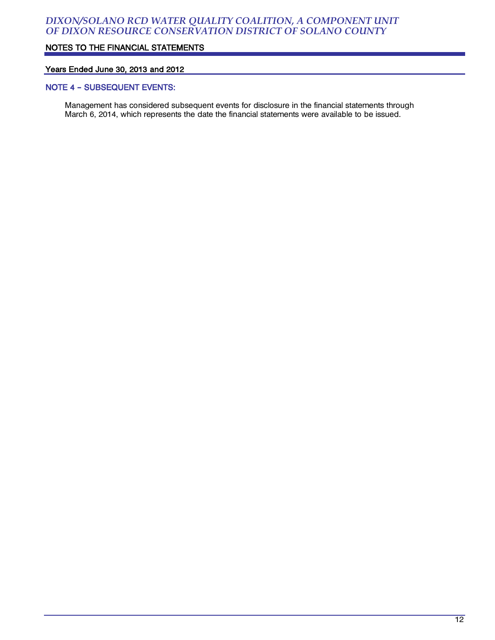# NOTES TO THE FINANCIAL STATEMENTS

## Years Ended June 30, 2013 and 2012

# NOTE 4 - SUBSEQUENT EVENTS:

Management has considered subsequent events for disclosure in the financial statements through March 6, 2014, which represents the date the financial statements were available to be issued.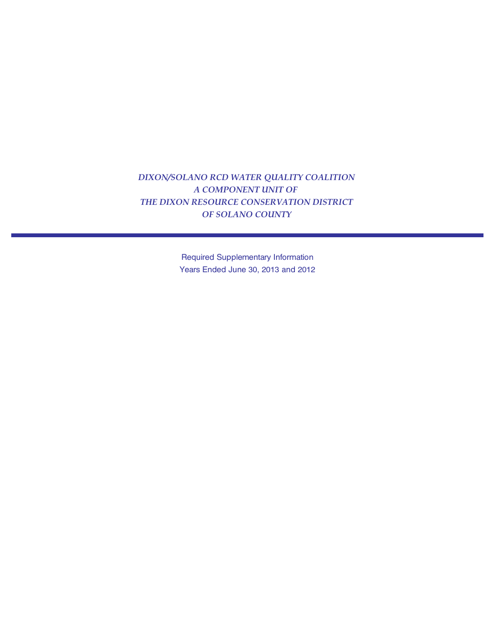*DIXON/SOLANO RCD WATER QUALITY COALITION THE DIXON RESOURCE CONSERVATION DISTRICT OF SOLANO COUNTY A COMPONENT UNIT OF* 

> Years Ended June 30, 2013 and 2012 Required Supplementary Information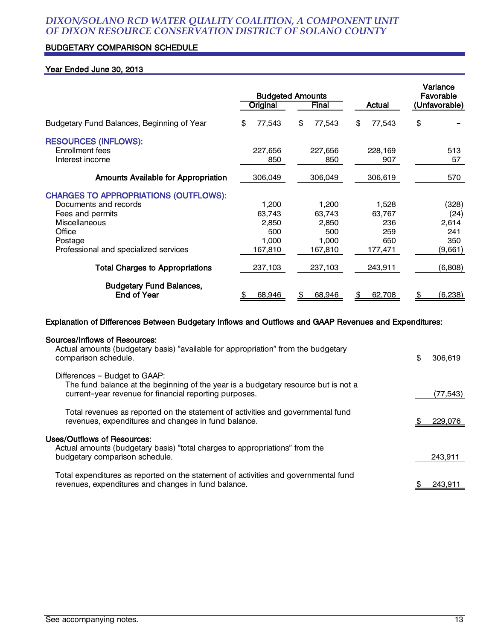# BUDGETARY COMPARISON SCHEDULE

# Year Ended June 30, 2013

|                                                                                                                                                                                 |    | <b>Budgeted Amounts</b><br>Original                 | Final                                               | Actual                                          | Variance<br>Favorable<br>(Unfavorable)          |
|---------------------------------------------------------------------------------------------------------------------------------------------------------------------------------|----|-----------------------------------------------------|-----------------------------------------------------|-------------------------------------------------|-------------------------------------------------|
| Budgetary Fund Balances, Beginning of Year                                                                                                                                      | \$ | 77,543                                              | \$<br>77,543                                        | \$<br>77,543                                    | \$                                              |
| <b>RESOURCES (INFLOWS):</b><br>Enrollment fees<br>Interest income                                                                                                               |    | 227,656<br>850                                      | 227,656<br>850                                      | 228,169<br>907                                  | 513<br>57                                       |
| <b>Amounts Available for Appropriation</b>                                                                                                                                      |    | 306,049                                             | 306,049                                             | 306,619                                         | 570                                             |
| <b>CHARGES TO APPROPRIATIONS (OUTFLOWS):</b><br>Documents and records<br>Fees and permits<br><b>Miscellaneous</b><br>Office<br>Postage<br>Professional and specialized services |    | 1,200<br>63,743<br>2.850<br>500<br>1,000<br>167,810 | 1,200<br>63,743<br>2.850<br>500<br>1,000<br>167,810 | 1,528<br>63,767<br>236<br>259<br>650<br>177,471 | (328)<br>(24)<br>2,614<br>241<br>350<br>(9,661) |
| <b>Total Charges to Appropriations</b>                                                                                                                                          |    | 237,103                                             | 237,103                                             | 243,911                                         | (6,808)                                         |
| <b>Budgetary Fund Balances,</b><br><b>End of Year</b>                                                                                                                           | S  | 68,946                                              | 68,946                                              | 62,708                                          | \$<br>(6,238)                                   |

### Explanation of Differences Between Budgetary Inflows and Outflows and GAAP Revenues and Expenditures:

| <b>Sources/Inflows of Resources:</b> |
|--------------------------------------|
|--------------------------------------|

| Actual amounts (budgetary basis) "available for appropriation" from the budgetary<br>comparison schedule.                                                                     | \$<br>306,619 |
|-------------------------------------------------------------------------------------------------------------------------------------------------------------------------------|---------------|
| Differences - Budget to GAAP:<br>The fund balance at the beginning of the year is a budgetary resource but is not a<br>current-year revenue for financial reporting purposes. | (77, 543)     |
| Total revenues as reported on the statement of activities and governmental fund<br>revenues, expenditures and changes in fund balance.                                        | 229.076       |
| Uses/Outflows of Resources:<br>Actual amounts (budgetary basis) "total charges to appropriations" from the<br>budgetary comparison schedule.                                  | 243,911       |
| Total expenditures as reported on the statement of activities and governmental fund<br>revenues, expenditures and changes in fund balance.                                    | 243.911       |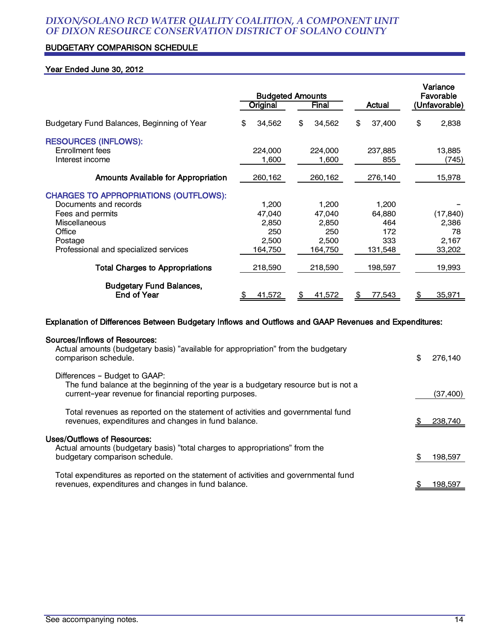# BUDGETARY COMPARISON SCHEDULE

# Year Ended June 30, 2012

|                                                                                                                                                                                                                    | <b>Budgeted Amounts</b><br>Original                            |           | Final                                                          | Actual                                                     | Variance<br>Favorable<br>(Unfavorable)                |
|--------------------------------------------------------------------------------------------------------------------------------------------------------------------------------------------------------------------|----------------------------------------------------------------|-----------|----------------------------------------------------------------|------------------------------------------------------------|-------------------------------------------------------|
| Budgetary Fund Balances, Beginning of Year                                                                                                                                                                         | \$<br>34,562                                                   | \$        | 34,562                                                         | \$<br>37,400                                               | \$<br>2,838                                           |
| <b>RESOURCES (INFLOWS):</b><br>Enrollment fees<br>Interest income                                                                                                                                                  | 224,000<br>1,600                                               |           | 224,000<br>1,600                                               | 237,885<br>855                                             | 13,885<br>(745)                                       |
| <b>Amounts Available for Appropriation</b>                                                                                                                                                                         | 260,162                                                        |           | 260,162                                                        | 276,140                                                    | 15,978                                                |
| <b>CHARGES TO APPROPRIATIONS (OUTFLOWS):</b><br>Documents and records<br>Fees and permits<br>Miscellaneous<br>Office<br>Postage<br>Professional and specialized services<br><b>Total Charges to Appropriations</b> | 1,200<br>47,040<br>2,850<br>250<br>2.500<br>164.750<br>218,590 |           | 1,200<br>47,040<br>2,850<br>250<br>2.500<br>164,750<br>218,590 | 1,200<br>64,880<br>464<br>172<br>333<br>131,548<br>198,597 | (17, 840)<br>2,386<br>78<br>2,167<br>33,202<br>19,993 |
| <b>Budgetary Fund Balances,</b><br><b>End of Year</b>                                                                                                                                                              | 41,572                                                         | <u>\$</u> | 41,572                                                         | 77,543                                                     | \$<br>35,971                                          |

### Explanation of Differences Between Budgetary Inflows and Outflows and GAAP Revenues and Expenditures:

| Actual amounts (budgetary basis) "available for appropriation" from the budgetary<br>comparison schedule.                                                                     | \$<br>276,140 |
|-------------------------------------------------------------------------------------------------------------------------------------------------------------------------------|---------------|
| Differences - Budget to GAAP:<br>The fund balance at the beginning of the year is a budgetary resource but is not a<br>current-year revenue for financial reporting purposes. | (37, 400)     |
| Total revenues as reported on the statement of activities and governmental fund<br>revenues, expenditures and changes in fund balance.                                        | 238,740       |
| Uses/Outflows of Resources:<br>Actual amounts (budgetary basis) "total charges to appropriations" from the<br>budgetary comparison schedule.                                  | 198,597       |
| Total expenditures as reported on the statement of activities and governmental fund<br>revenues, expenditures and changes in fund balance.                                    | 198.597       |